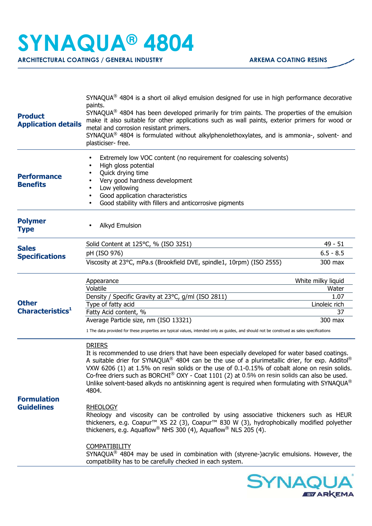## **SYNAQUA® 4804**

**ARCHITECTURAL COATINGS / GENERAL INDUSTRY ARKEMA COATING RESINS** 

| <b>Product</b><br><b>Application details</b> | $SYNAQUA^{\circledast}$ 4804 is a short oil alkyd emulsion designed for use in high performance decorative<br>paints.<br>SYNAQUA <sup>®</sup> 4804 has been developed primarily for trim paints. The properties of the emulsion<br>make it also suitable for other applications such as wall paints, exterior primers for wood or<br>metal and corrosion resistant primers.<br>SYNAQUA® 4804 is formulated without alkylphenolethoxylates, and is ammonia-, solvent- and<br>plasticiser-free.                                         |                     |  |
|----------------------------------------------|---------------------------------------------------------------------------------------------------------------------------------------------------------------------------------------------------------------------------------------------------------------------------------------------------------------------------------------------------------------------------------------------------------------------------------------------------------------------------------------------------------------------------------------|---------------------|--|
| <b>Performance</b><br><b>Benefits</b>        | Extremely low VOC content (no requirement for coalescing solvents)<br>٠<br>High gloss potential<br>Quick drying time<br>Very good hardness development<br>Low yellowing<br>Good application characteristics<br>Good stability with fillers and anticorrosive pigments                                                                                                                                                                                                                                                                 |                     |  |
| <b>Polymer</b><br><b>Type</b>                | <b>Alkyd Emulsion</b>                                                                                                                                                                                                                                                                                                                                                                                                                                                                                                                 |                     |  |
| <b>Sales</b>                                 | Solid Content at 125°C, % (ISO 3251)                                                                                                                                                                                                                                                                                                                                                                                                                                                                                                  | $49 - 51$           |  |
| <b>Specifications</b>                        | pH (ISO 976)                                                                                                                                                                                                                                                                                                                                                                                                                                                                                                                          | $6.5 - 8.5$         |  |
|                                              | Viscosity at 23°C, mPa.s (Brookfield DVE, spindle1, 10rpm) (ISO 2555)                                                                                                                                                                                                                                                                                                                                                                                                                                                                 | 300 max             |  |
|                                              | Appearance                                                                                                                                                                                                                                                                                                                                                                                                                                                                                                                            | White milky liquid  |  |
|                                              | Volatile                                                                                                                                                                                                                                                                                                                                                                                                                                                                                                                              | Water               |  |
| <b>Other</b>                                 | Density / Specific Gravity at 23°C, g/ml (ISO 2811)                                                                                                                                                                                                                                                                                                                                                                                                                                                                                   | 1.07                |  |
| Characteristics <sup>1</sup>                 | Type of fatty acid<br>Fatty Acid content, %                                                                                                                                                                                                                                                                                                                                                                                                                                                                                           | Linoleic rich<br>37 |  |
|                                              | Average Particle size, nm (ISO 13321)                                                                                                                                                                                                                                                                                                                                                                                                                                                                                                 | 300 max             |  |
|                                              | 1 The data provided for these properties are typical values, intended only as guides, and should not be construed as sales specifications                                                                                                                                                                                                                                                                                                                                                                                             |                     |  |
|                                              | <b>DRIERS</b><br>It is recommended to use driers that have been especially developed for water based coatings.<br>A suitable drier for SYNAQUA® 4804 can be the use of a plurimetallic drier, for exp. Additol®<br>VXW 6206 (1) at 1.5% on resin solids or the use of 0.1-0.15% of cobalt alone on resin solids.<br>Co-free driers such as BORCHI® OXY - Coat 1101 (2) at 0.5% on resin solids can also be used.<br>Unlike solvent-based alkyds no antiskinning agent is required when formulating with SYNAQUA <sup>®</sup><br>4804. |                     |  |
| <b>Formulation</b><br><b>Guidelines</b>      | <b>RHEOLOGY</b><br>Rheology and viscosity can be controlled by using associative thickeners such as HEUR<br>thickeners, e.g. Coapur <sup>™</sup> XS 22 (3), Coapur <sup>™</sup> 830 W (3), hydrophobically modified polyether<br>thickeners, e.g. Aquaflow <sup>®</sup> NHS 300 (4), Aquaflow <sup>®</sup> NLS 205 (4).                                                                                                                                                                                                               |                     |  |
|                                              | <b>COMPATIBILITY</b><br>SYNAQUA® 4804 may be used in combination with (styrene-)acrylic emulsions. However, the<br>compatibility has to be carefully checked in each system.                                                                                                                                                                                                                                                                                                                                                          |                     |  |